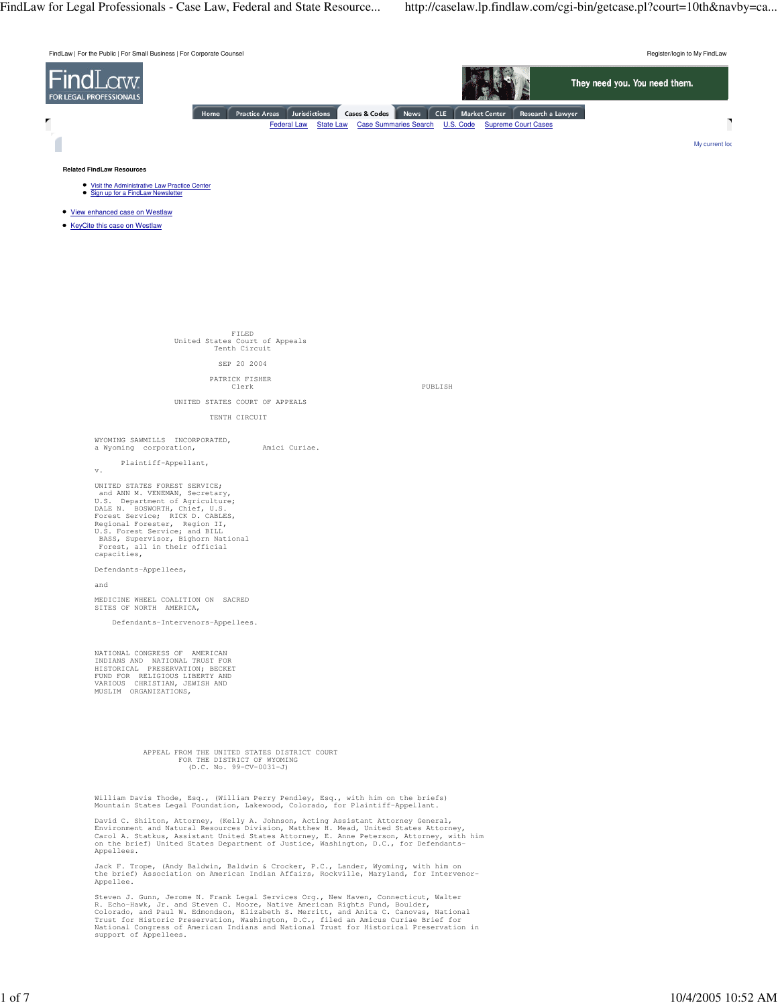FILED United States Court of Appeals Tenth Circuit

### SEP 20 2004

# PATRICK FISHER

PUBLISH

UNITED STATES COURT OF APPEALS

## TENTH CIRCUIT

WYOMING SAWMILLS INCORPORATED, a Wyoming corporation, a Mici Curiae.

Plaintiff-Appellant,

v.

UNITED STATES FOREST SERVICE; and ANN M. VENEMAN, Secretary, U.S. Department of Agriculture; DALE N. BOSWORTH, Chief, U.S. Forest Service; RICK D. CABLES, Regional Forester, Region II, U.S. Forest Service; and BILL BASS, Supervisor, Bighorn National Forest, all in their official capacities,

Defendants-Appellees,

and

MEDICINE WHEEL COALITION ON SACRED SITES OF NORTH AMERICA,

Defendants-Intervenors-Appellees.

NATIONAL CONGRESS OF AMERICAN INDIANS AND NATIONAL TRUST FOR HISTORICAL PRESERVATION; BECKET FUND FOR RELIGIOUS LIBERTY AND VARIOUS CHRISTIAN, JEWISH AND MUSLIM ORGANIZATIONS,

### APPEAL FROM THE UNITED STATES DISTRICT COURT FOR THE DISTRICT OF WYOMING (D.C. No. 99-CV-0031-J)

William Davis Thode, Esq., (William Perry Pendley, Esq., with him on the briefs) Mountain States Legal Foundation, Lakewood, Colorado, for Plaintiff-Appellant.

David C. Shilton, Attorney, (Kelly A. Johnson, Acting Assistant Attorney General, Environment and Natural Resources Division, Matthew H. Mead, United States Attorney, Carol A. Statkus, Assistant United States Attorney, E. Anne Peterson, Attorney, with him on the brief) United States Department of Justice, Washington, D.C., for Defendants-Appellees.

Jack F. Trope, (Andy Baldwin, Baldwin & Crocker, P.C., Lander, Wyoming, with him on the brief) Association on American Indian Affairs, Rockville, Maryland, for Intervenor-Appellee.

Steven J. Gunn, Jerome N. Frank Legal Services Org., New Haven, Connecticut, Walter R. Echo-Hawk, Jr. and Steven C. Moore, Native American Rights Fund, Boulder, Colorado, and Paul W. Edmondson, Elizabeth S. Merritt, and Anita C. Canovas, National Trust for Historic Preservation, Washington, D.C., filed an Amicus Curiae Brief for National Congress of American Indians and National Trust for Historical Preservation in support of Appellees.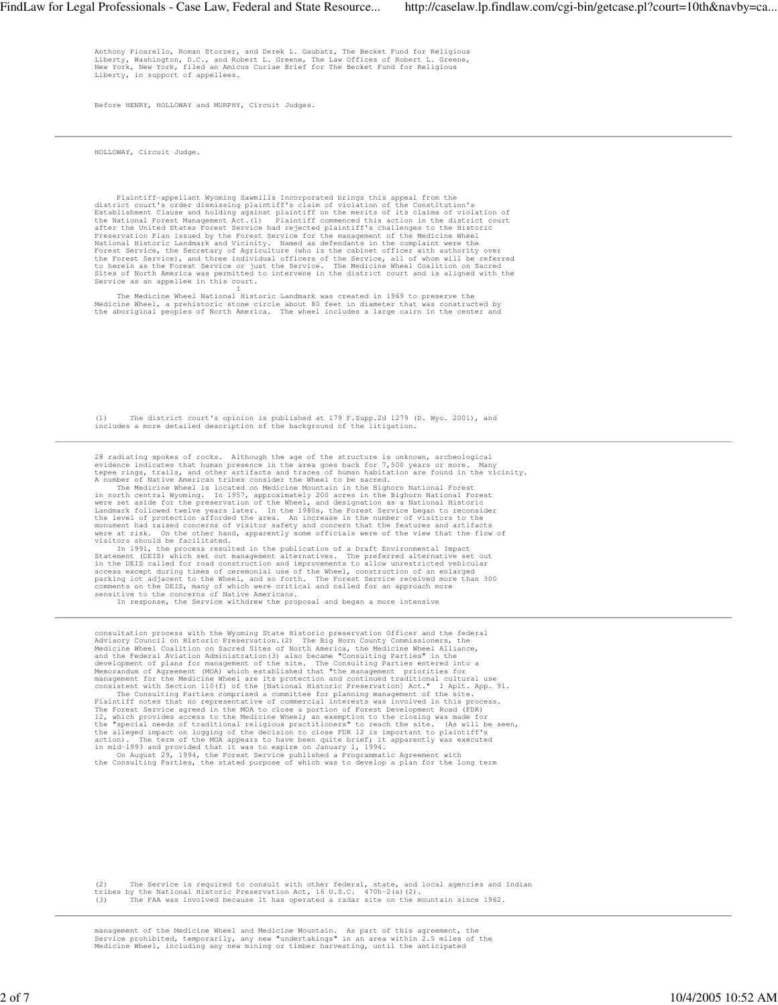Anthony Picarello, Roman Storzer, and Derek L. Gaubatz, The Becket Fund for Religious<br>Liberty, Washington, D.C., and Robert L. Greene, The Law Offices of Robert L. Greene,<br>New York, New York, filed an Amicus Curiae Brief f

Before HENRY, HOLLOWAY and MURPHY, Circuit Judges.

HOLLOWAY, Circuit Judge.

Plaintiff-appellant Wyoming Sawmills Incorporated brings this appeal from the<br>district court's order dismissing plaintiff's claim of violation of the Constitution's<br>Establishment Clause and holding against plaintiff on the

The Medicine Wheel National Historic Landmark was created in 1969 to preserve the<br>Medicine Wheel, a prehistoric stone circle about 80 feet in diameter that was constructed by<br>the aboriginal peoples of North America. The wh

(1) The district court's opinion is published at 179 F.Supp.2d 1279 (D. Wyo. 2001), and includes a more detailed description of the background of the litigation.

28 radiating spokes of rocks. Although the age of the structure is unknown, archeological<br>evidence indicates that human presence in the area goes back for 7,500 years or more. Many<br>tepee rings, trails, and other artifacts

In 1991, the process resulted in the publication of a Draft Environmental Impact<br>Statement (DEIS) which set out management alternatives. The preferred alternative set out<br>in the DEIS called for road construction and improv

In response, the Service withdrew the proposal and began a more intensive

consultation process with the Wyoming State Historic preservation Officer and the federal<br>Advisory Council on Historic Preservation (2) The Big Horn County Commissioners, the<br>Medicine Wheel Coalition on Sacred Sites of Nor

(2) The Service is required to consult with other federal, state, and local agencies and Indian<br>tribes by the National Historic Preservation Act, 16 U.S.C. 470h-2(a)(2).<br>(3) The FAA was involved because it has operated a r

management of the Medicine Wheel and Medicine Mountain. As part of this agreement, the<br>Service prohibited, temporarily, any new "undertakings" in an area within 2.5 miles of the<br>Medicine Wheel, including any new mining or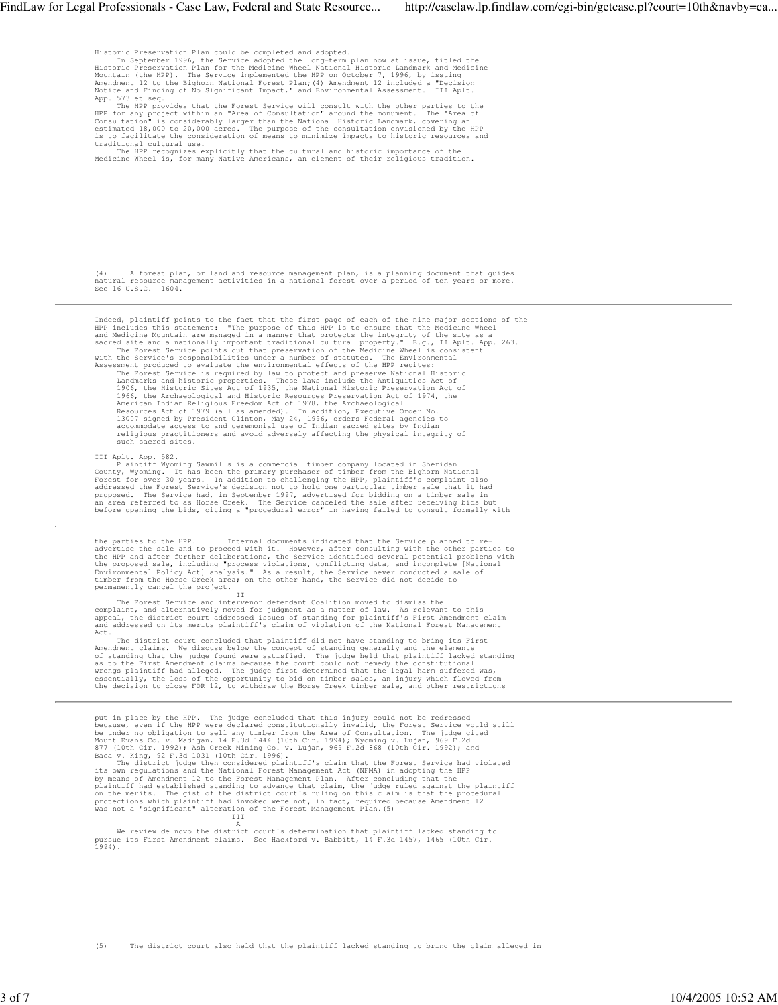Historic Preservation Plan could be completed and adopted.<br>In September 1996, the Service adopted the long-term plan now at issue, titled the<br>Historic Preservation Plan for the Medicine Wheel National Historic Landmark and Mountain (the HPP). The Service implemented the HPP on October 7, 1996, by issuing<br>Amendment 12 to the Bighorn National Forest Plan;(4) Amendment 12 included a "Decision<br>Notice and Finding of No Significant Impact," and E App. 573 et seq.

The HPP provides that the Forest Service will consult with the other parties to the<br>HPP for any project within an "Area of Consultation" around the monument. The "Area of<br>Consultation" is considerably larger than the Natio

(4) A forest plan, or land and resource management plan, is a planning document that guides natural resource management activities in a national forest over a period of ten years or more. See 16 U.S.C. 1604.

Indeed, plainiff points to the fact that the first page of each of the nie major series and Medicine Mountain are manner that propes of this HPP is to ensure that the Medicine Mountain are managed in a manner that protects

III Aplt. App. 582.<br>
Plaintiff Wyoming Sawmills is a commercial timber company located in Sheridan<br>
Plaintiff Wyoming. It has been the primary purchaser of timber from the Bighorn National<br>
Forest for over 30 years. In add

the parties to the HPP. Internal documents indicated that the Service planned to reachertise the sale and to proceed with it. However, after consulting with the other parties to the HPP and after further deliberations, the

The Forest Service and intervenor defendant Coalition moved to dismiss the<br>complaint, and alternatively moved for judgment as a matter of law. As relevant to this<br>appeal, the district court addressed issues of standing for Act.

The district court concluded that plaintiff did not have standing to bring its First Amendment claims. We discuss below the concept of standing generally and the elements<br>of standing that the judge found were satisfied. The judge held that plaintiff lacked standing<br>as to the First Amendment claims because

put in place by the HPP. The judge concluded that this injury could not be redressed even if the HPP were declared constitutionally invalid, the Forest Service would still<br>be under no obligation to sell any timber from the

A<br>We review de novo the district court's determination that plaintiff lacked standing to<br>pursue its First Amendment claims. See Hackford v. Babbitt, 14 F.3d 1457, 1465 (10th Cir.<br>1994).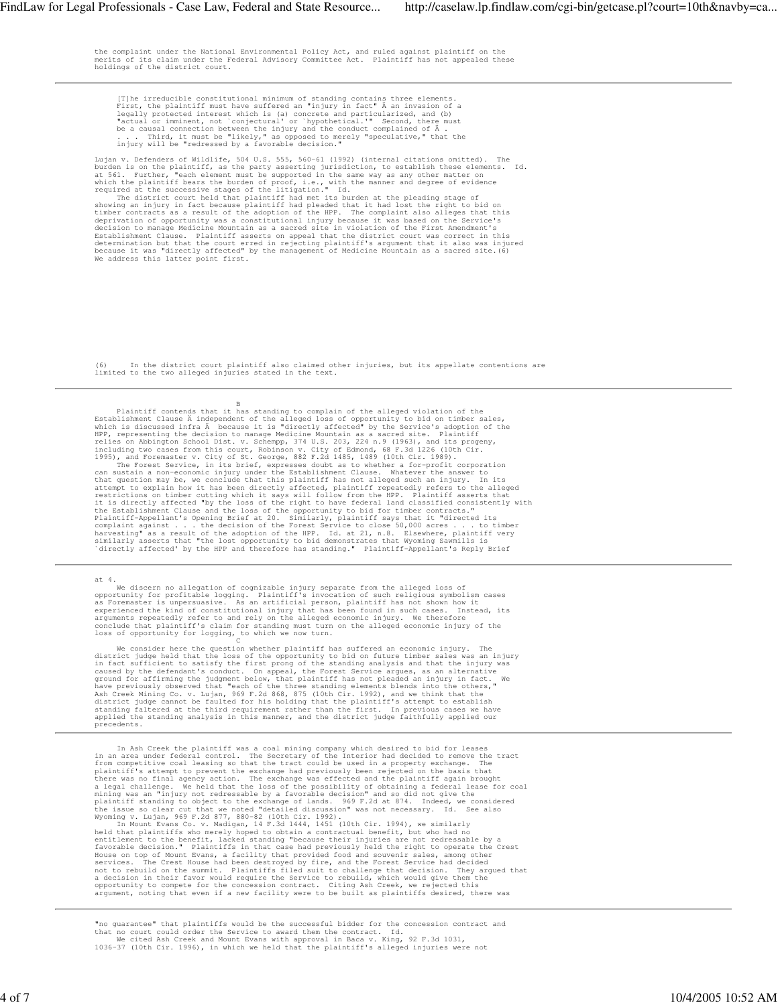the complaint under the National Environmental Policy Act, and ruled against plaintiff on the merits of its claim under the Federal Advisory Committee Act. Plaintiff has not appealed these holdings of the district court.

[T]he irreducible constitutional minimum of standing contains three elements.<br>First, the plaintiff must have suffered an "injury in fact"  $\lambda$  an invasion of a<br>legally protected interest which is (a) concrete and particul

Lujan v. Defenders of Wildlife, 504 U.S. 555, 5660-61 (1992) (internal citations omitted). The burden is on the plaintiff, as the party asserting jurisdiction, to establish these elements. Id.<br>at 561. Further, "each elemen

(6) In the district court plaintiff also claimed other injuries, but its appellate contentions are limited to the two alleged injuries stated in the text.

Plaintiff contends that it has standing to complain of the alleged violation of the Ristablishment Clause À independent of the alleged loss of opportunity to bid on timber sales, which is discussed infra Å because it is "d

at 4.<br>We discern no allegation of cognizable injury separate from the alleged loss of<br>opportunity for profitable logging. Plaintiff's invocation of such religious symbolism cases<br>as Foremaster is unpersuasive. As an artifi

We consider here the question whether plaintiff has suffered an economic injury. The<br>district judge held that the loss of the opportunity to bid on future timber sales was an ninjury<br>in fact sufficient to satisfy the first

In ask Creek the plaintiff was a coal mining company which desired to bid for leases<br>in an area under federal control. The Secretary of the Interior had decided to remove the tract<br>plaintiff's attempt coal leasing so that

"no guarantee" that plaintiffs would be the successful bidder for the concession contract and<br>that no court could order the Service to award them the contract. Id.<br>We cited Ash Creek and Mount Evans with approval in Baca v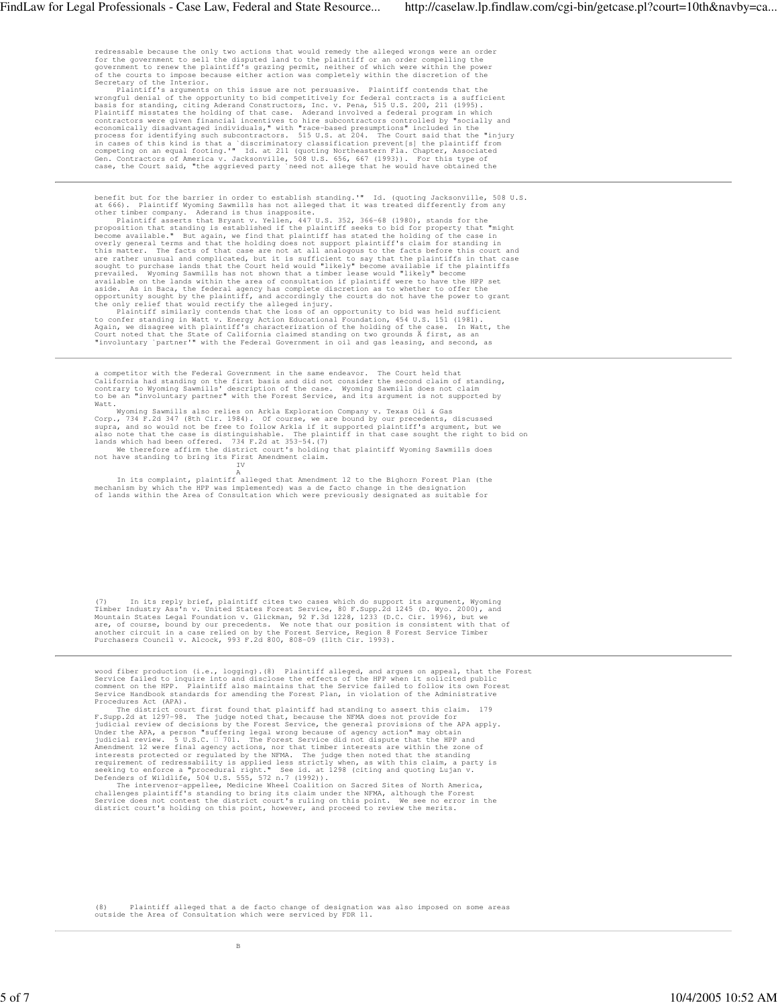redressable because the only two actions that would remedy the alleged wrongs were an order<br>for the government to sell the disputed land to the plaintiff or an order compelling the<br>government to renew the plaintiff's grazi

Secretary of the Interior.<br>
Plaintiff's arguments on this issue are not persuasive. Plaintiff contends that the<br>
wrongful denial of the opportunity to bid competitively for federal contracts is a sufficient<br>
basis for stan

benefit but for the barrier in order to establish standing." Id. (quoting Jacksonville, 508 U.S.<br>at 666). Plaintiff Wyoming Sawmills has not alleged that it was treated differently from any<br>other timber company. Aderand is

a competitor with the Federal Government in the same endeavor. The Court held that<br>California had standing on the first basis and did not consider the second claim of standing,<br>contrary to Wyoming Sawmills' description of

Watt.<br>Wyoming Sawmills also relies on Arkla Exploration Company v. Texas Oil & Gas<br>Corp., 734 F.2d 347 (8th Cir. 1984). Of course, we are bound by our precedents, discussed<br>supra, and so would not be free to follow Arkla i

not have standing to bring its First Amendment claim. IV

A<br>In its complaint, plaintif alleged that Amendment 12 to the Bighorn Forest Plan (the<br>mechanism by which the HPP was implemented) was a de facto change in the designation<br>of lands within the Area of Consultation which wer

(7) In its reply brief, plaintiff cites two cases which do support its argument, Wyoming Timmber Industry Ass'n v. United States Forest Service, 80 F.Supp.2d 1245 (D. Wyo. 2000), and Mountain States Legal Foundation v. Gli

wood fiber production (i.e., logging). (8) Plaintiff alleged, and argues on appeal, that the Forest Service failed to inquire into and disclose the effects of the HPP when it solicited public<br>comment on the HPP. Plaintiff also maintains that the Service failed to follow its own Forest<br>Service Handbook standards for amend

Procedures Act (APA). The judge noted that plaintiff had standing to assert this claim. 179<br>F. Supp.2d at 1297-98. The judge noted that, because the NFMA does not provide for<br>Judicial review of decisions by the Forest Serv

(8) Plaintiff alleged that a de facto change of designation was also imposed on some areas outside the Area of Consultation which were serviced by FDR 11.

B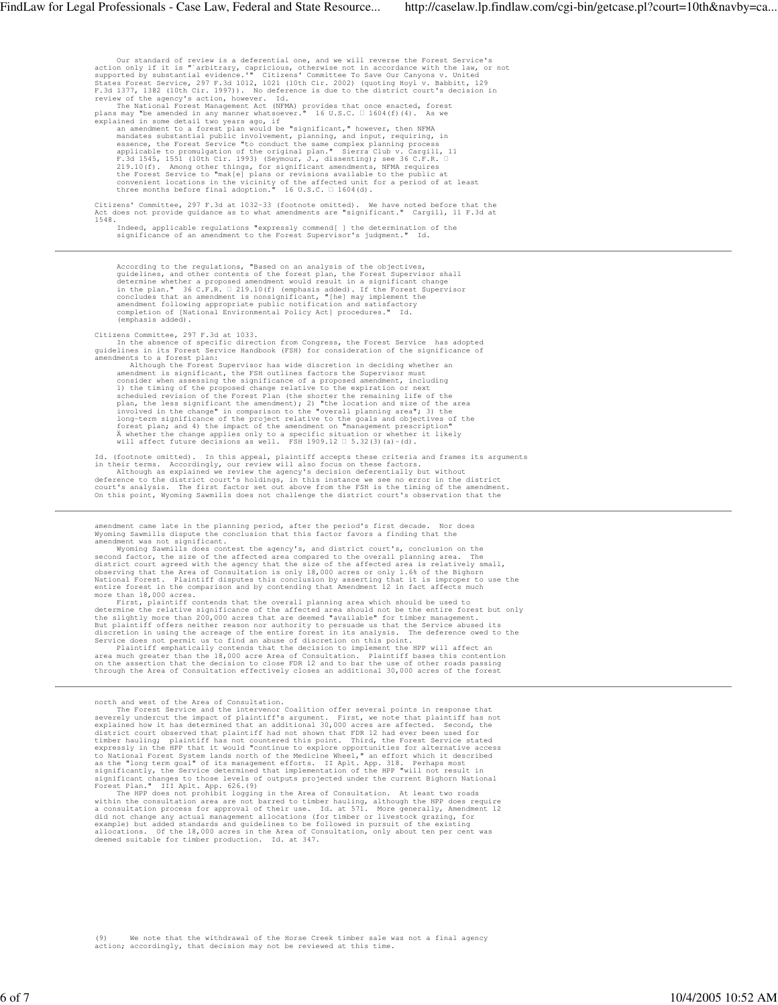Our standard of review is a deferential one, and we will reverse the Forest Service's<br>action only if it is "arbitrary, capricious, otherwise not in accordance with the law,<br>or<br>supported by substantial evidence." Citizens' Citizens' Committee, 297 F.3d at 1032-33 (footnote omitted). We have noted before that the Act does not provide guidance as to what amendments are "significant." Cargill, 11 F.3d at 1548. Indeed, applicable regulations "expressly commend[ ] the determination of the significance of an amendment to the Forest Supervisor's judgment." Id. According to the regulations, "Based on an analysis of the objectives,<br>guidelines, and other contents of the forest plan, the Forest Supervisor shall<br>determine whether a proposed amendment would result in a significant cha

(emphasis added).

Citizens Committee, 297 F.3d at 1033. In the absence of specific direction from Congress, the Forest Service has adopted guidelines in its Forest Service Handbook (FSH) for consideration of the significance of

amendments to a forest plan:<br>
Although the Forest Supervisor has wide discretion in deciding whether an<br>
amendment is significant, the FSH outlines factors the Supervisor must<br>
consider when assessing the significance of a

Id. (footnote omitted). In this appeal, plaintiff accepts these criteria and frames its arguments<br>in their terms. Accordingly, our review will also focus on these factors.<br>Although as explained we review the agency's decis

amendment came late in the planning period, after the period's first decade. Nor does Wyoming Sawmills dispute the conclusion that this factor favors a finding that the

amendment was not significant.<br>Wyoming Sawmills does contest the agency's, and district court's, conclusion on the<br>second factor, the size of the affected area compared to the overall planning area. The<br>district court agre

more than 18,000 acres.<br>
First, plaintiff contends that the overall planning area which should be used to<br>
First, plaintiff contends that the overall planning area which shuld be used to<br>
determine the relative significanc

north and west of the Area of Consultation.<br>The Forest Service and the intervenor Coalition offer several points in response that<br>severely undercut the impact of plaintiff's argument. First, we note that plaintiff has not<br>

The HPP does not probibit logging in the Area of Consultation. At least two roads<br>within the consultation area are not barred to timber hauling, although the HPP does require<br>a consultation process for approval of their us

(9) We note that the withdrawal of the Horse Creek timber sale was not a final agency action; accordingly, that decision may not be reviewed at this time.